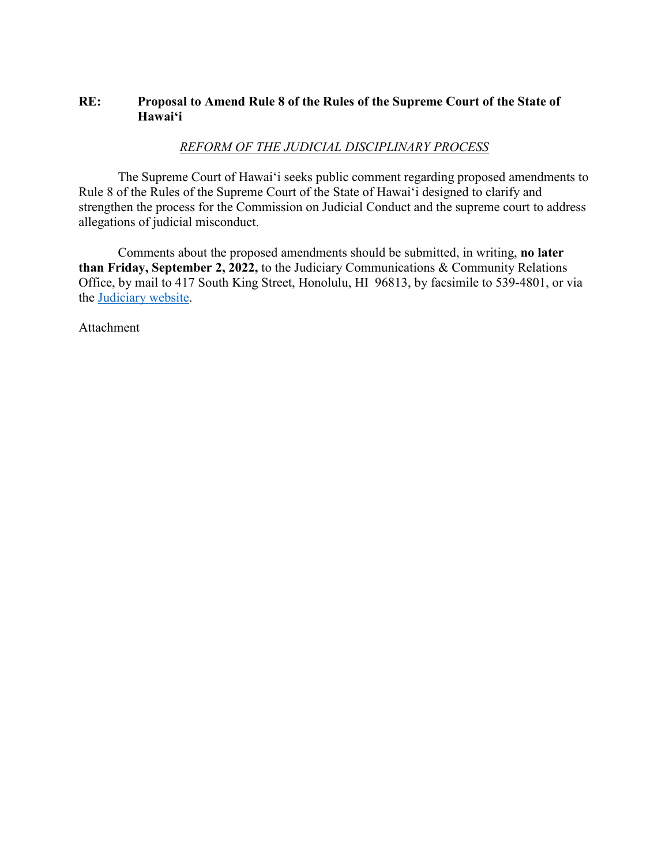# **RE: Proposal to Amend Rule 8 of the Rules of the Supreme Court of the State of Hawaiʻi**

# *REFORM OF THE JUDICIAL DISCIPLINARY PROCESS*

The Supreme Court of Hawaiʻi seeks public comment regarding proposed amendments to Rule 8 of the Rules of the Supreme Court of the State of Hawaiʻi designed to clarify and strengthen the process for the Commission on Judicial Conduct and the supreme court to address allegations of judicial misconduct.

Comments about the proposed amendments should be submitted, in writing, **no later than Friday, September 2, 2022,** to the Judiciary Communications & Community Relations Office, by mail to 417 South King Street, Honolulu, HI 96813, by facsimile to 539-4801, or via the [Judiciary website.](https://www.courts.state.hi.us/comment-on-proposed-rules-changes)

Attachment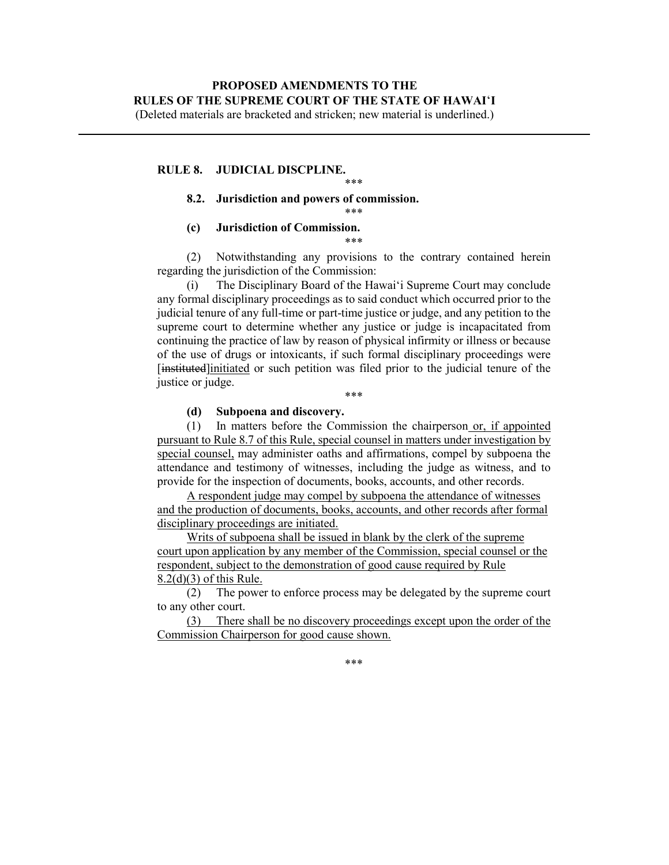(Deleted materials are bracketed and stricken; new material is underlined.)

## **RULE 8. JUDICIAL DISCPLINE.**

## **8.2. Jurisdiction and powers of commission.**

\*\*\*

## **(c) Jurisdiction of Commission.**

\*\*\*

\*\*\*

(2) Notwithstanding any provisions to the contrary contained herein regarding the jurisdiction of the Commission:

(i) The Disciplinary Board of the Hawaiʻi Supreme Court may conclude any formal disciplinary proceedings as to said conduct which occurred prior to the judicial tenure of any full-time or part-time justice or judge, and any petition to the supreme court to determine whether any justice or judge is incapacitated from continuing the practice of law by reason of physical infirmity or illness or because of the use of drugs or intoxicants, if such formal disciplinary proceedings were [instituted]initiated or such petition was filed prior to the judicial tenure of the justice or judge.

\*\*\*

### **(d) Subpoena and discovery.**

(1) In matters before the Commission the chairperson or, if appointed pursuant to Rule 8.7 of this Rule, special counsel in matters under investigation by special counsel, may administer oaths and affirmations, compel by subpoena the attendance and testimony of witnesses, including the judge as witness, and to provide for the inspection of documents, books, accounts, and other records.

A respondent judge may compel by subpoena the attendance of witnesses and the production of documents, books, accounts, and other records after formal disciplinary proceedings are initiated.

Writs of subpoena shall be issued in blank by the clerk of the supreme court upon application by any member of the Commission, special counsel or the respondent, subject to the demonstration of good cause required by Rule 8.2(d)(3) of this Rule.

(2) The power to enforce process may be delegated by the supreme court to any other court.

(3) There shall be no discovery proceedings except upon the order of the Commission Chairperson for good cause shown.

\*\*\*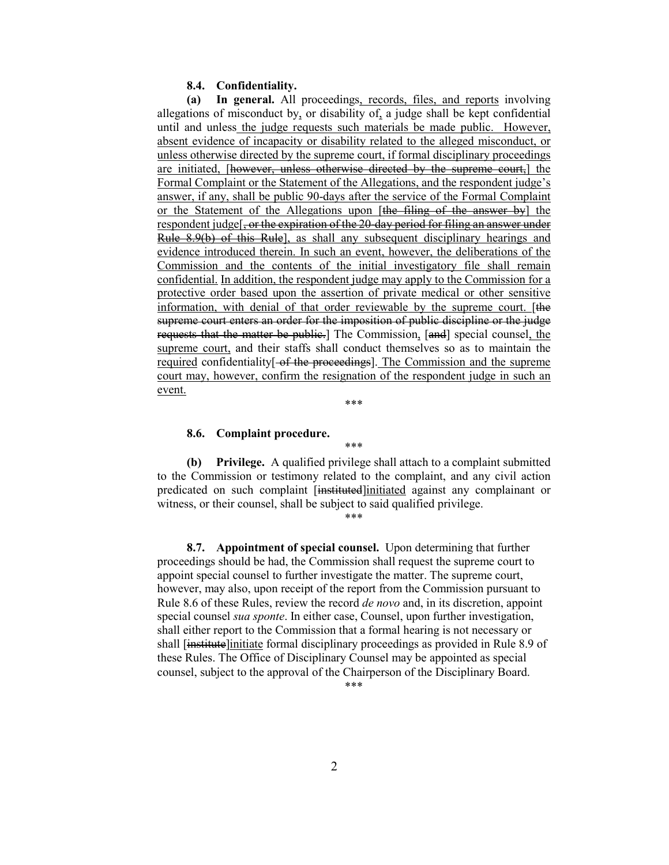#### **8.4. Confidentiality.**

**(a) In general.** All proceedings, records, files, and reports involving allegations of misconduct by, or disability of, a judge shall be kept confidential until and unless the judge requests such materials be made public. However, absent evidence of incapacity or disability related to the alleged misconduct, or unless otherwise directed by the supreme court, if formal disciplinary proceedings are initiated, [however, unless otherwise directed by the supreme court,] the Formal Complaint or the Statement of the Allegations, and the respondent judge's answer, if any, shall be public 90-days after the service of the Formal Complaint or the Statement of the Allegations upon [the filing of the answer by] the respondent judge<sup>[</sup>, or the expiration of the 20-day period for filing an answer under Rule 8.9(b) of this Rule], as shall any subsequent disciplinary hearings and evidence introduced therein. In such an event, however, the deliberations of the Commission and the contents of the initial investigatory file shall remain confidential. In addition, the respondent judge may apply to the Commission for a protective order based upon the assertion of private medical or other sensitive information, with denial of that order reviewable by the supreme court. [the supreme court enters an order for the imposition of public discipline or the judge requests that the matter be public.] The Commission, [and] special counsel, the supreme court, and their staffs shall conduct themselves so as to maintain the required confidentiality  $\left\{ -\frac{\partial f}{\partial t} \right\}$ . The Commission and the supreme court may, however, confirm the resignation of the respondent judge in such an event.

\*\*\*

\*\*\*

### **8.6. Complaint procedure.**

**(b) Privilege.** A qualified privilege shall attach to a complaint submitted to the Commission or testimony related to the complaint, and any civil action predicated on such complaint [instituted]initiated against any complainant or witness, or their counsel, shall be subject to said qualified privilege.

\*\*\*

**8.7. Appointment of special counsel.** Upon determining that further proceedings should be had, the Commission shall request the supreme court to appoint special counsel to further investigate the matter. The supreme court, however, may also, upon receipt of the report from the Commission pursuant to Rule 8.6 of these Rules, review the record *de novo* and, in its discretion, appoint special counsel *sua sponte*. In either case, Counsel, upon further investigation, shall either report to the Commission that a formal hearing is not necessary or shall [institute]initiate formal disciplinary proceedings as provided in Rule 8.9 of these Rules. The Office of Disciplinary Counsel may be appointed as special counsel, subject to the approval of the Chairperson of the Disciplinary Board.

\*\*\*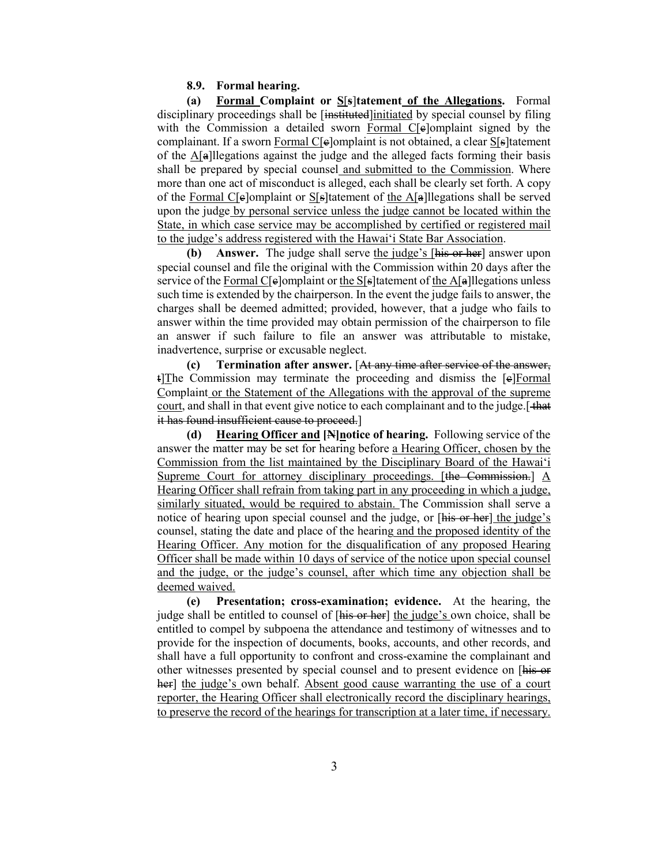### **8.9. Formal hearing.**

**(a) Formal Complaint or S**[**s**]**tatement of the Allegations.** Formal disciplinary proceedings shall be [instituted] initiated by special counsel by filing with the Commission a detailed sworn Formal C[e]omplaint signed by the complainant. If a sworn Formal C[ $e$ ]omplaint is not obtained, a clear S[ $s$ ]tatement of the A[a]llegations against the judge and the alleged facts forming their basis shall be prepared by special counsel and submitted to the Commission. Where more than one act of misconduct is alleged, each shall be clearly set forth. A copy of the Formal C[ $e$ ]omplaint or S[ $s$ ]tatement of the A[ $a$ ]llegations shall be served upon the judge by personal service unless the judge cannot be located within the State, in which case service may be accomplished by certified or registered mail to the judge's address registered with the Hawaiʻi State Bar Association.

**(b) Answer.** The judge shall serve the judge's [his or her] answer upon special counsel and file the original with the Commission within 20 days after the service of the Formal C[ $\epsilon$ ]omplaint or the S[ $\epsilon$ ] latement of the A[ $\epsilon$ ] llegations unless such time is extended by the chairperson. In the event the judge fails to answer, the charges shall be deemed admitted; provided, however, that a judge who fails to answer within the time provided may obtain permission of the chairperson to file an answer if such failure to file an answer was attributable to mistake, inadvertence, surprise or excusable neglect.

**(c) Termination after answer.** [At any time after service of the answer, t]The Commission may terminate the proceeding and dismiss the [e]Formal Complaint or the Statement of the Allegations with the approval of the supreme court, and shall in that event give notice to each complainant and to the judge. [that it has found insufficient cause to proceed.]

**(d) Hearing Officer and [N]notice of hearing.** Following service of the answer the matter may be set for hearing before a Hearing Officer, chosen by the Commission from the list maintained by the Disciplinary Board of the Hawaiʻi Supreme Court for attorney disciplinary proceedings. [the Commission.] A Hearing Officer shall refrain from taking part in any proceeding in which a judge, similarly situated, would be required to abstain. The Commission shall serve a notice of hearing upon special counsel and the judge, or [his or her] the judge's counsel, stating the date and place of the hearing and the proposed identity of the Hearing Officer. Any motion for the disqualification of any proposed Hearing Officer shall be made within 10 days of service of the notice upon special counsel and the judge, or the judge's counsel, after which time any objection shall be deemed waived.

**(e) Presentation; cross-examination; evidence.** At the hearing, the judge shall be entitled to counsel of [his or her] the judge's own choice, shall be entitled to compel by subpoena the attendance and testimony of witnesses and to provide for the inspection of documents, books, accounts, and other records, and shall have a full opportunity to confront and cross-examine the complainant and other witnesses presented by special counsel and to present evidence on [his or her] the judge's own behalf. Absent good cause warranting the use of a court reporter, the Hearing Officer shall electronically record the disciplinary hearings, to preserve the record of the hearings for transcription at a later time, if necessary.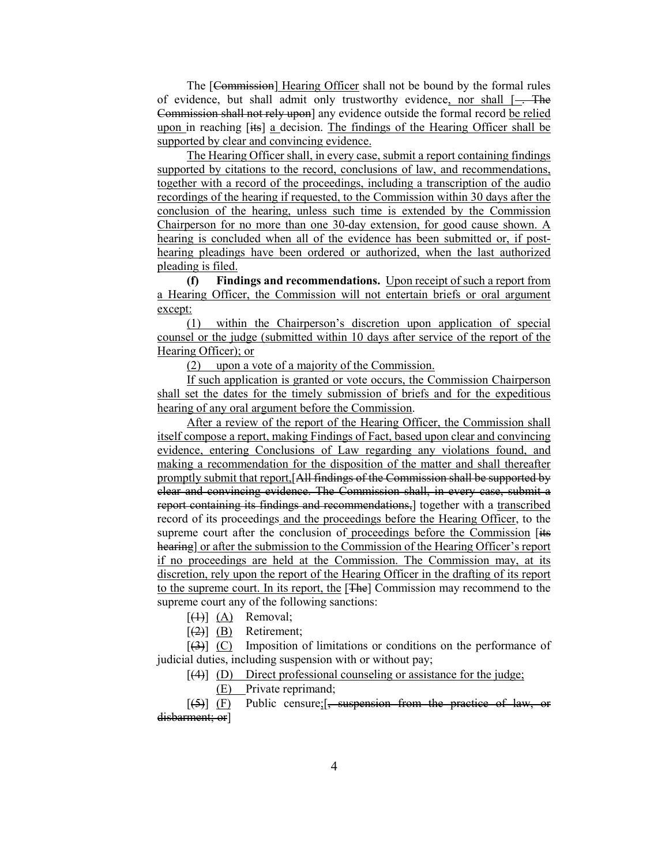The [Commission] Hearing Officer shall not be bound by the formal rules of evidence, but shall admit only trustworthy evidence, nor shall  $[-]$ . The Commission shall not rely upon] any evidence outside the formal record be relied upon in reaching [its] a decision. The findings of the Hearing Officer shall be supported by clear and convincing evidence.

The Hearing Officer shall, in every case, submit a report containing findings supported by citations to the record, conclusions of law, and recommendations, together with a record of the proceedings, including a transcription of the audio recordings of the hearing if requested, to the Commission within 30 days after the conclusion of the hearing, unless such time is extended by the Commission Chairperson for no more than one 30-day extension, for good cause shown. A hearing is concluded when all of the evidence has been submitted or, if posthearing pleadings have been ordered or authorized, when the last authorized pleading is filed.

**(f) Findings and recommendations.** Upon receipt of such a report from a Hearing Officer, the Commission will not entertain briefs or oral argument except:

(1) within the Chairperson's discretion upon application of special counsel or the judge (submitted within 10 days after service of the report of the Hearing Officer); or

(2) upon a vote of a majority of the Commission.

If such application is granted or vote occurs, the Commission Chairperson shall set the dates for the timely submission of briefs and for the expeditious hearing of any oral argument before the Commission.

After a review of the report of the Hearing Officer, the Commission shall itself compose a report, making Findings of Fact, based upon clear and convincing evidence, entering Conclusions of Law regarding any violations found, and making a recommendation for the disposition of the matter and shall thereafter promptly submit that report,[All findings of the Commission shall be supported by clear and convincing evidence. The Commission shall, in every case, submit a report containing its findings and recommendations, together with a transcribed record of its proceedings and the proceedings before the Hearing Officer, to the supreme court after the conclusion of proceedings before the Commission [its] hearing] or after the submission to the Commission of the Hearing Officer's report if no proceedings are held at the Commission. The Commission may, at its discretion, rely upon the report of the Hearing Officer in the drafting of its report to the supreme court. In its report, the [The] Commission may recommend to the supreme court any of the following sanctions:

 $[(1)] (A)$  Removal;

 $\left[\frac{2}{2}\right]$  (B) Retirement;

 $[3]$  (C) Imposition of limitations or conditions on the performance of judicial duties, including suspension with or without pay;

 $[(4)]$  (D) Direct professional counseling or assistance for the judge;

(E) Private reprimand;

 $[5]$  (F) Public censure;  $\frac{1}{5}$ , suspension from the practice of law, or disbarment; or]